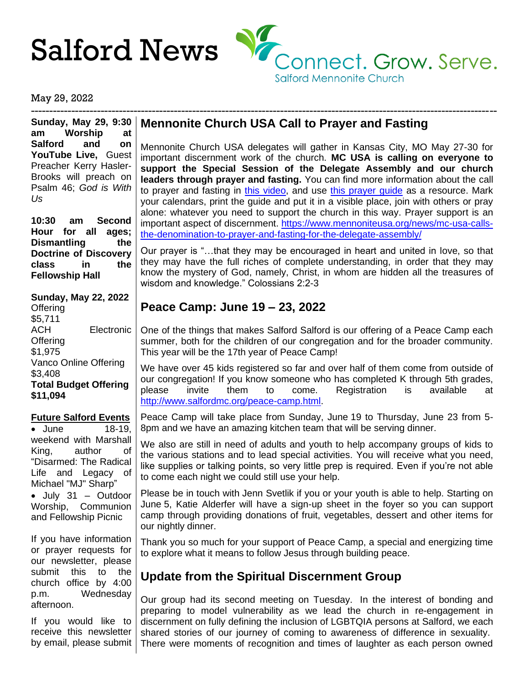

May 29, 2022

**Sunday, May 29, 9:30 am Worship at Salford and on YouTube Live,** Guest Preacher Kerry Hasler-Brooks will preach on Psalm 46; *God is With Us*

**10:30 am Second Hour for all ages; Dismantling the Doctrine of Discovery class in the Fellowship Hall**

## **Sunday, May 22, 2022**

**Offering** \$5,711 ACH Electronic **Offering** \$1,975 Vanco Online Offering \$3,408 **Total Budget Offering \$11,094**

## **Future Salford Events**

• June 18-19, weekend with Marshall King, author of "Disarmed: The Radical Life and Legacy of Michael "MJ" Sharp" • July 31 – Outdoor Worship, Communion and Fellowship Picnic

If you have information or prayer requests for our newsletter, please submit this to the church office by 4:00 p.m. Wednesday afternoon.

If you would like to receive this newsletter by email, please submit

# **Mennonite Church USA Call to Prayer and Fasting**

-------------------------------------------------------------------------------------------------------------------------------

Mennonite Church USA delegates will gather in Kansas City, MO May 27-30 for important discernment work of the church. **MC USA is calling on everyone to support the Special Session of the Delegate Assembly and our church leaders through prayer and fasting.** You can find more information about the call to prayer and fasting in [this video,](https://www.youtube.com/watch?v=ccHRef8jlcA) and use [this prayer guide](https://www.mennoniteusa.org/wp-content/uploads/2022/05/Delegate-Assembly-Prayer-Guide.pdf) as a resource. Mark your calendars, print the guide and put it in a visible place, join with others or pray alone: whatever you need to support the church in this way. Prayer support is an important aspect of discernment. [https://www.mennoniteusa.org/news/mc-usa-calls](https://www.mennoniteusa.org/news/mc-usa-calls-the-denomination-to-prayer-and-fasting-for-the-delegate-assembly/)[the-denomination-to-prayer-and-fasting-for-the-delegate-assembly/](https://www.mennoniteusa.org/news/mc-usa-calls-the-denomination-to-prayer-and-fasting-for-the-delegate-assembly/)

Our prayer is "…that they may be encouraged in heart and united in love, so that they may have the full riches of complete understanding, in order that they may know the mystery of God, namely, Christ, in whom are hidden all the treasures of wisdom and knowledge." Colossians 2:2-3

# **Peace Camp: June 19 – 23, 2022**

One of the things that makes Salford Salford is our offering of a Peace Camp each summer, both for the children of our congregation and for the broader community. This year will be the 17th year of Peace Camp!

We have over 45 kids registered so far and over half of them come from outside of our congregation! If you know someone who has completed K through 5th grades, please invite them to come. Registration is available at [http://www.salfordmc.org/peace-camp.html.](http://www.salfordmc.org/peace-camp.html)

Peace Camp will take place from Sunday, June 19 to Thursday, June 23 from 5- 8pm and we have an amazing kitchen team that will be serving dinner.

We also are still in need of adults and youth to help accompany groups of kids to the various stations and to lead special activities. You will receive what you need, like supplies or talking points, so very little prep is required. Even if you're not able to come each night we could still use your help.

Please be in touch with Jenn Svetlik if you or your youth is able to help. Starting on June 5, Katie Alderfer will have a sign-up sheet in the foyer so you can support camp through providing donations of fruit, vegetables, dessert and other items for our nightly dinner.

Thank you so much for your support of Peace Camp, a special and energizing time to explore what it means to follow Jesus through building peace.

# **Update from the Spiritual Discernment Group**

Our group had its second meeting on Tuesday. In the interest of bonding and preparing to model vulnerability as we lead the church in re-engagement in discernment on fully defining the inclusion of LGBTQIA persons at Salford, we each shared stories of our journey of coming to awareness of difference in sexuality. There were moments of recognition and times of laughter as each person owned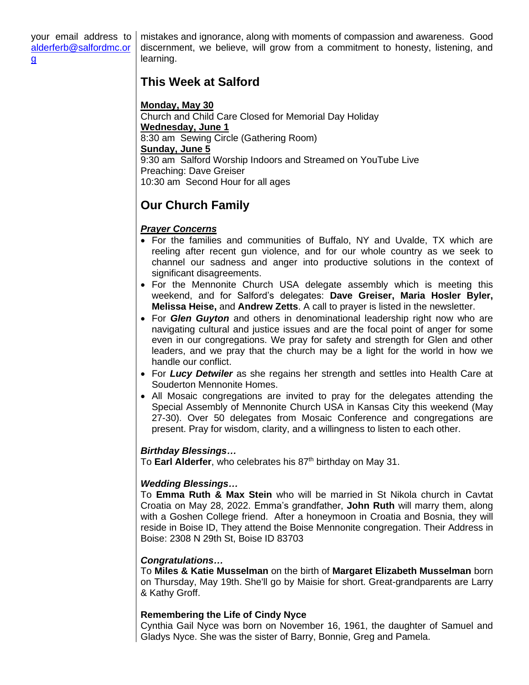mistakes and ignorance, along with moments of compassion and awareness. Good discernment, we believe, will grow from a commitment to honesty, listening, and learning.

# **This Week at Salford**

**Monday, May 30** Church and Child Care Closed for Memorial Day Holiday **Wednesday, June 1** 8:30 am Sewing Circle (Gathering Room) **Sunday, June 5** 9:30 am Salford Worship Indoors and Streamed on YouTube Live Preaching: Dave Greiser 10:30 am Second Hour for all ages

# **Our Church Family**

## *Prayer Concerns*

- For the families and communities of Buffalo, NY and Uvalde, TX which are reeling after recent gun violence, and for our whole country as we seek to channel our sadness and anger into productive solutions in the context of significant disagreements.
- For the Mennonite Church USA delegate assembly which is meeting this weekend, and for Salford's delegates: **Dave Greiser, Maria Hosler Byler, Melissa Heise,** and **Andrew Zetts**. A call to prayer is listed in the newsletter.
- For *Glen Guyton* and others in denominational leadership right now who are navigating cultural and justice issues and are the focal point of anger for some even in our congregations. We pray for safety and strength for Glen and other leaders, and we pray that the church may be a light for the world in how we handle our conflict.
- For *Lucy Detwiler* as she regains her strength and settles into Health Care at Souderton Mennonite Homes.
- All Mosaic congregations are invited to pray for the delegates attending the Special Assembly of Mennonite Church USA in Kansas City this weekend (May 27-30). Over 50 delegates from Mosaic Conference and congregations are present. Pray for wisdom, clarity, and a willingness to listen to each other.

## *Birthday Blessings…*

To Earl Alderfer, who celebrates his 87<sup>th</sup> birthday on May 31.

## *Wedding Blessings…*

To **Emma Ruth & Max Stein** who will be married in St Nikola church in Cavtat Croatia on May 28, 2022. Emma's grandfather, **John Ruth** will marry them, along with a Goshen College friend. After a honeymoon in Croatia and Bosnia, they will reside in Boise ID, They attend the Boise Mennonite congregation. Their Address in Boise: 2308 N 29th St, Boise ID 83703

## *Congratulations…*

To **Miles & Katie Musselman** on the birth of **Margaret Elizabeth Musselman** born on Thursday, May 19th. She'll go by Maisie for short. Great-grandparents are Larry & Kathy Groff.

## **Remembering the Life of Cindy Nyce**

Cynthia Gail Nyce was born on November 16, 1961, the daughter of Samuel and Gladys Nyce. She was the sister of Barry, Bonnie, Greg and Pamela.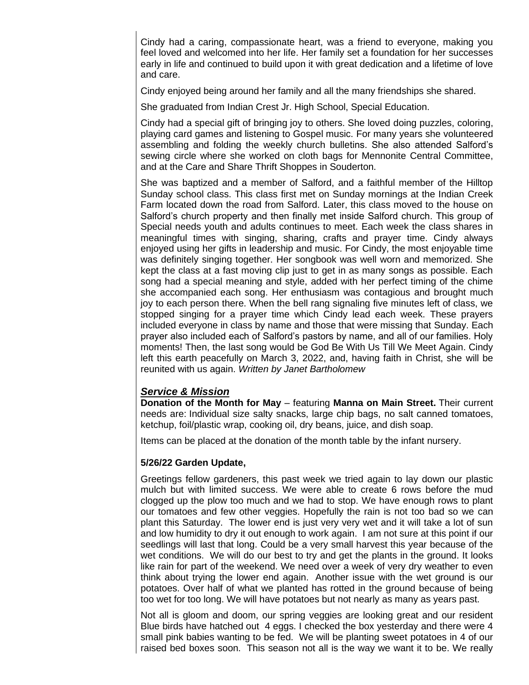Cindy had a caring, compassionate heart, was a friend to everyone, making you feel loved and welcomed into her life. Her family set a foundation for her successes early in life and continued to build upon it with great dedication and a lifetime of love and care.

Cindy enjoyed being around her family and all the many friendships she shared.

She graduated from Indian Crest Jr. High School, Special Education.

Cindy had a special gift of bringing joy to others. She loved doing puzzles, coloring, playing card games and listening to Gospel music. For many years she volunteered assembling and folding the weekly church bulletins. She also attended Salford's sewing circle where she worked on cloth bags for Mennonite Central Committee, and at the Care and Share Thrift Shoppes in Souderton.

She was baptized and a member of Salford, and a faithful member of the Hilltop Sunday school class. This class first met on Sunday mornings at the Indian Creek Farm located down the road from Salford. Later, this class moved to the house on Salford's church property and then finally met inside Salford church. This group of Special needs youth and adults continues to meet. Each week the class shares in meaningful times with singing, sharing, crafts and prayer time. Cindy always enjoyed using her gifts in leadership and music. For Cindy, the most enjoyable time was definitely singing together. Her songbook was well worn and memorized. She kept the class at a fast moving clip just to get in as many songs as possible. Each song had a special meaning and style, added with her perfect timing of the chime she accompanied each song. Her enthusiasm was contagious and brought much joy to each person there. When the bell rang signaling five minutes left of class, we stopped singing for a prayer time which Cindy lead each week. These prayers included everyone in class by name and those that were missing that Sunday. Each prayer also included each of Salford's pastors by name, and all of our families. Holy moments! Then, the last song would be God Be With Us Till We Meet Again. Cindy left this earth peacefully on March 3, 2022, and, having faith in Christ, she will be reunited with us again. *Written by Janet Bartholomew*

## *Service & Mission*

**Donation of the Month for May** – featuring **Manna on Main Street.** Their current needs are: Individual size salty snacks, large chip bags, no salt canned tomatoes, ketchup, foil/plastic wrap, cooking oil, dry beans, juice, and dish soap.

Items can be placed at the donation of the month table by the infant nursery.

## **5/26/22 Garden Update,**

Greetings fellow gardeners, this past week we tried again to lay down our plastic mulch but with limited success. We were able to create 6 rows before the mud clogged up the plow too much and we had to stop. We have enough rows to plant our tomatoes and few other veggies. Hopefully the rain is not too bad so we can plant this Saturday. The lower end is just very very wet and it will take a lot of sun and low humidity to dry it out enough to work again. I am not sure at this point if our seedlings will last that long. Could be a very small harvest this year because of the wet conditions. We will do our best to try and get the plants in the ground. It looks like rain for part of the weekend. We need over a week of very dry weather to even think about trying the lower end again. Another issue with the wet ground is our potatoes. Over half of what we planted has rotted in the ground because of being too wet for too long. We will have potatoes but not nearly as many as years past.

Not all is gloom and doom, our spring veggies are looking great and our resident Blue birds have hatched out 4 eggs. I checked the box yesterday and there were 4 small pink babies wanting to be fed. We will be planting sweet potatoes in 4 of our raised bed boxes soon. This season not all is the way we want it to be. We really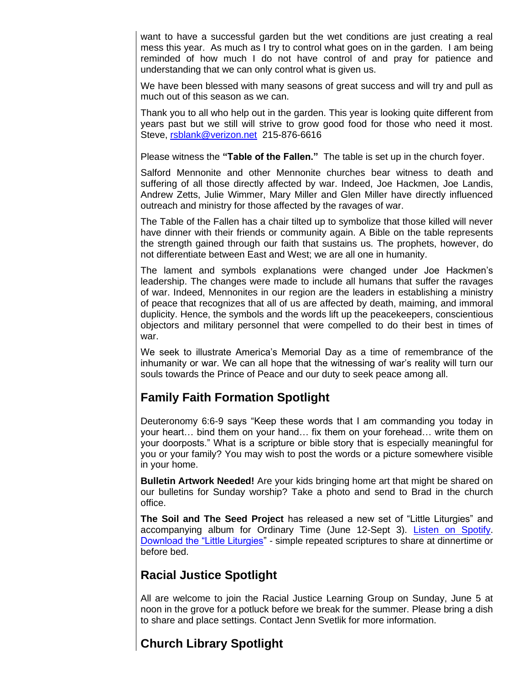want to have a successful garden but the wet conditions are just creating a real mess this year. As much as I try to control what goes on in the garden. I am being reminded of how much I do not have control of and pray for patience and understanding that we can only control what is given us.

We have been blessed with many seasons of great success and will try and pull as much out of this season as we can.

Thank you to all who help out in the garden. This year is looking quite different from years past but we still will strive to grow good food for those who need it most. Steve, [rsblank@verizon.net](mailto:rsblank@verizon.net) 215-876-6616

Please witness the **"Table of the Fallen."** The table is set up in the church foyer.

Salford Mennonite and other Mennonite churches bear witness to death and suffering of all those directly affected by war. Indeed, Joe Hackmen, Joe Landis, Andrew Zetts, Julie Wimmer, Mary Miller and Glen Miller have directly influenced outreach and ministry for those affected by the ravages of war.

The Table of the Fallen has a chair tilted up to symbolize that those killed will never have dinner with their friends or community again. A Bible on the table represents the strength gained through our faith that sustains us. The prophets, however, do not differentiate between East and West; we are all one in humanity.

The lament and symbols explanations were changed under Joe Hackmen's leadership. The changes were made to include all humans that suffer the ravages of war. Indeed, Mennonites in our region are the leaders in establishing a ministry of peace that recognizes that all of us are affected by death, maiming, and immoral duplicity. Hence, the symbols and the words lift up the peacekeepers, conscientious objectors and military personnel that were compelled to do their best in times of war.

We seek to illustrate America's Memorial Day as a time of remembrance of the inhumanity or war. We can all hope that the witnessing of war's reality will turn our souls towards the Prince of Peace and our duty to seek peace among all.

# **Family Faith Formation Spotlight**

Deuteronomy 6:6-9 says "Keep these words that I am commanding you today in your heart… bind them on your hand… fix them on your forehead… write them on your doorposts." What is a scripture or bible story that is especially meaningful for you or your family? You may wish to post the words or a picture somewhere visible in your home.

**Bulletin Artwork Needed!** Are your kids bringing home art that might be shared on our bulletins for Sunday worship? Take a photo and send to Brad in the church office.

**The Soil and The Seed Project** has released a new set of "Little Liturgies" and accompanying album for Ordinary Time (June 12-Sept 3). [Listen on Spotify.](https://open.spotify.com/album/5PlXWiKLneuy8DU7ACfzAs?si=0VoIktOwS6m3Z5jkS6ozMA) [Download the "Little Liturgies"](https://www.thesoilandtheseedproject.org/) - simple repeated scriptures to share at dinnertime or before bed.

# **Racial Justice Spotlight**

All are welcome to join the Racial Justice Learning Group on Sunday, June 5 at noon in the grove for a potluck before we break for the summer. Please bring a dish to share and place settings. Contact Jenn Svetlik for more information.

# **Church Library Spotlight**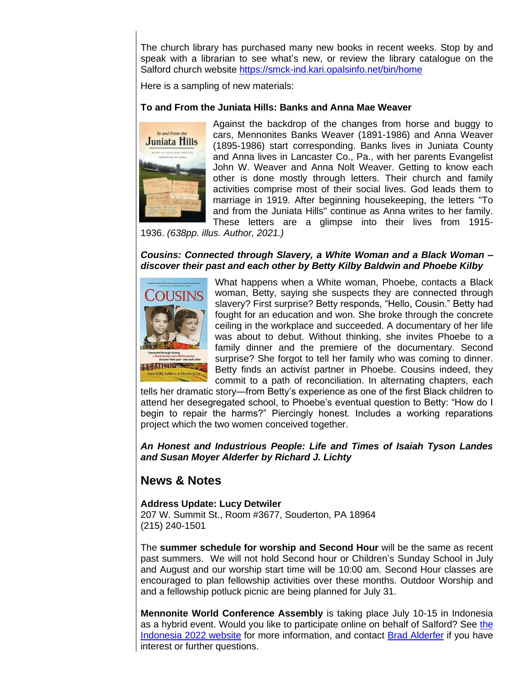The church library has purchased many new books in recent weeks. Stop by and speak with a librarian to see what's new, or review the library catalogue on the Salford church website<https://smck-ind.kari.opalsinfo.net/bin/home>

Here is a sampling of new materials:

#### **To and From the Juniata Hills: Banks and Anna Mae Weaver**



Against the backdrop of the changes from horse and buggy to cars, Mennonites Banks Weaver (1891-1986) and Anna Weaver (1895-1986) start corresponding. Banks lives in Juniata County and Anna lives in Lancaster Co., Pa., with her parents Evangelist John W. Weaver and Anna Nolt Weaver. Getting to know each other is done mostly through letters. Their church and family activities comprise most of their social lives. God leads them to marriage in 1919. After beginning housekeeping, the letters "To and from the Juniata Hills" continue as Anna writes to her family. These letters are a glimpse into their lives from 1915-

1936. *(638pp. illus. Author, 2021.)*

#### *Cousins: Connected through Slavery, a White Woman and a Black Woman – discover their past and each other by Betty Kilby Baldwin and Phoebe Kilby*



What happens when a White woman, Phoebe, contacts a Black woman, Betty, saying she suspects they are connected through slavery? First surprise? Betty responds, "Hello, Cousin." Betty had fought for an education and won. She broke through the concrete ceiling in the workplace and succeeded. A documentary of her life was about to debut. Without thinking, she invites Phoebe to a family dinner and the premiere of the documentary. Second surprise? She forgot to tell her family who was coming to dinner. Betty finds an activist partner in Phoebe. Cousins indeed, they commit to a path of reconciliation. In alternating chapters, each

tells her dramatic story—from Betty's experience as one of the first Black children to attend her desegregated school, to Phoebe's eventual question to Betty: "How do I begin to repair the harms?" Piercingly honest. Includes a working reparations project which the two women conceived together.

*An Honest and Industrious People: Life and Times of Isaiah Tyson Landes and Susan Moyer Alderfer by Richard J. Lichty*

## **News & Notes**

#### **Address Update: Lucy Detwiler** 207 W. Summit St., Room #3677, Souderton, PA 18964 (215) 240-1501

The **summer schedule for worship and Second Hour** will be the same as recent past summers. We will not hold Second hour or Children's Sunday School in July and August and our worship start time will be 10:00 am. Second Hour classes are encouraged to plan fellowship activities over these months. Outdoor Worship and and a fellowship potluck picnic are being planned for July 31.

**Mennonite World Conference Assembly** is taking place July 10-15 in Indonesia as a hybrid event. Would you like to participate online on behalf of Salford? See [the](https://event.mwc-cmm.org/event/8c9c9576-4a3d-4ab2-a486-fc5024defbf6/websitePage:371aa2ec-8bd6-47fb-bfad-deb6c4c16fa6)  [Indonesia 2022 website](https://event.mwc-cmm.org/event/8c9c9576-4a3d-4ab2-a486-fc5024defbf6/websitePage:371aa2ec-8bd6-47fb-bfad-deb6c4c16fa6) for more information, and contact [Brad Alderfer](mailto:alderferb@salfordmc.org) if you have interest or further questions.